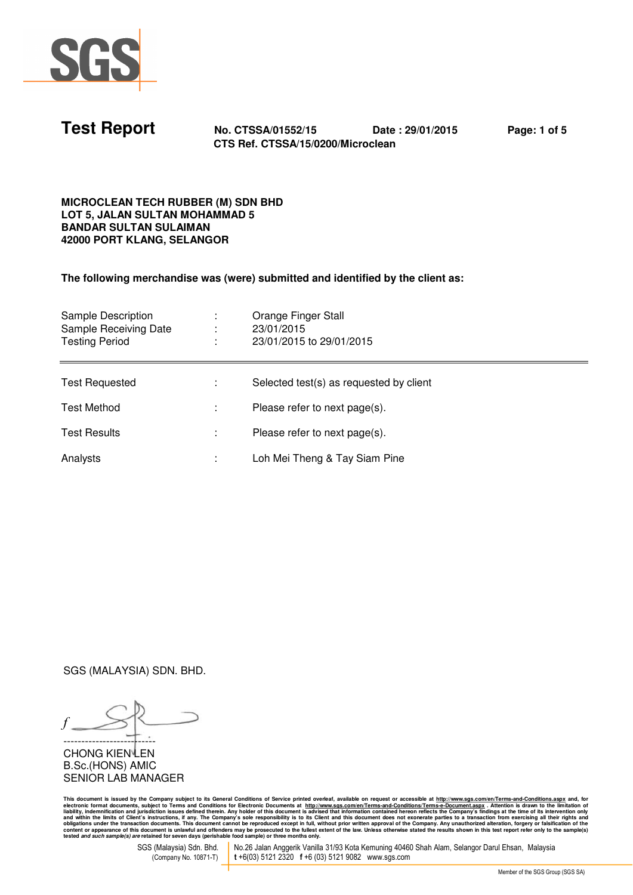

| <b>Test Report</b> | No. CTSSA/01552/15                | Date: 29/01/2015 | Page: 1 of 5 |
|--------------------|-----------------------------------|------------------|--------------|
|                    | CTS Ref. CTSSA/15/0200/Microclean |                  |              |

### **MICROCLEAN TECH RUBBER (M) SDN BHD LOT 5, JALAN SULTAN MOHAMMAD 5 BANDAR SULTAN SULAIMAN 42000 PORT KLANG, SELANGOR**

**The following merchandise was (were) submitted and identified by the client as:** 

| Sample Description<br>Sample Receiving Date<br><b>Testing Period</b> | Orange Finger Stall<br>23/01/2015<br>23/01/2015 to 29/01/2015 |
|----------------------------------------------------------------------|---------------------------------------------------------------|
| <b>Test Requested</b>                                                | Selected test(s) as requested by client                       |
| <b>Test Method</b>                                                   | Please refer to next page(s).                                 |
| <b>Test Results</b>                                                  | Please refer to next page(s).                                 |
| Analysts                                                             | Loh Mei Theng & Tay Siam Pine                                 |

SGS (MALAYSIA) SDN. BHD.

*f* --------------------------

**CHONG KIEN LEN** B.Sc.(HONS) AMIC SENIOR LAB MANAGER

This document is issued by the Company subject to Terms and Conditions of Service printed overleaf, available on request or accessible at <u>http://www.sts.com/en/Terms-and-Conditions?Ferms-e-Document.aspx . Attention is dra</u>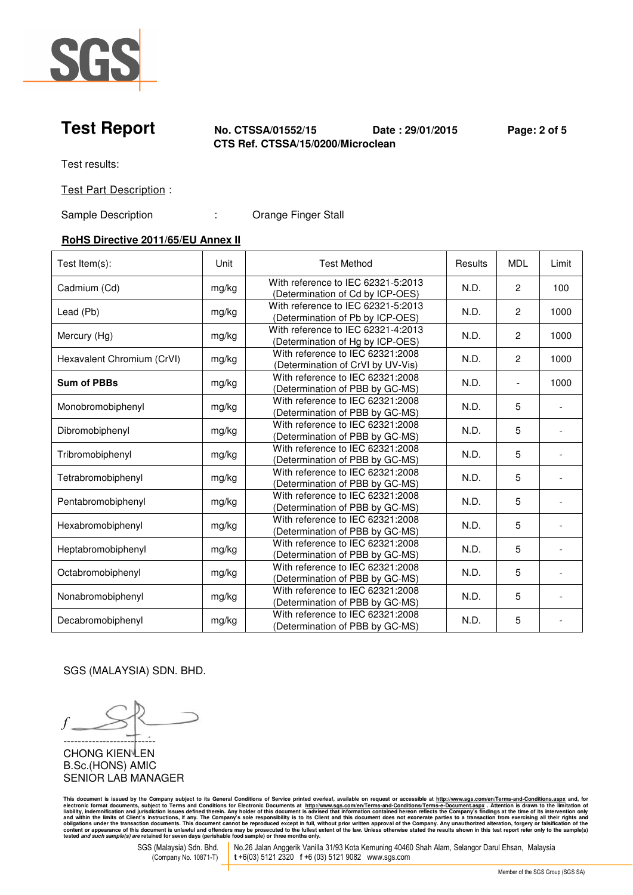

## **Test Report No. CTSSA/01552/15 Date : 29/01/2015 Page: 2 of 5 CTS Ref. CTSSA/15/0200/Microclean**

Test results:

Test Part Description :

Sample Description : Crange Finger Stall

# **RoHS Directive 2011/65/EU Annex II**

| Test Item(s):              | Unit  | <b>Test Method</b>                                                     | Results | <b>MDL</b>     | Limit |
|----------------------------|-------|------------------------------------------------------------------------|---------|----------------|-------|
| Cadmium (Cd)               | mg/kg | With reference to IEC 62321-5:2013<br>(Determination of Cd by ICP-OES) | N.D.    | $\overline{2}$ | 100   |
| Lead (Pb)                  | mg/kg | With reference to IEC 62321-5:2013<br>(Determination of Pb by ICP-OES) | N.D.    | $\mathbf{2}$   | 1000  |
| Mercury (Hg)               | mg/kg | With reference to IEC 62321-4:2013<br>(Determination of Hg by ICP-OES) | N.D.    | $\mathbf{2}$   | 1000  |
| Hexavalent Chromium (CrVI) | mg/kg | With reference to IEC 62321:2008<br>(Determination of CrVI by UV-Vis)  | N.D.    | $\mathbf{2}$   | 1000  |
| <b>Sum of PBBs</b>         | mg/kg | With reference to IEC 62321:2008<br>(Determination of PBB by GC-MS)    | N.D.    | $\blacksquare$ | 1000  |
| Monobromobiphenyl          | mg/kg | With reference to IEC 62321:2008<br>(Determination of PBB by GC-MS)    | N.D.    | 5              |       |
| Dibromobiphenyl            | mg/kg | With reference to IEC 62321:2008<br>(Determination of PBB by GC-MS)    | N.D.    | 5              |       |
| Tribromobiphenyl           | mg/kg | With reference to IEC 62321:2008<br>(Determination of PBB by GC-MS)    | N.D.    | 5              |       |
| Tetrabromobiphenyl         | mg/kg | With reference to IEC 62321:2008<br>(Determination of PBB by GC-MS)    | N.D.    | 5              |       |
| Pentabromobiphenyl         | mg/kg | With reference to IEC 62321:2008<br>(Determination of PBB by GC-MS)    | N.D.    | 5              |       |
| Hexabromobiphenyl          | mg/kg | With reference to IEC 62321:2008<br>(Determination of PBB by GC-MS)    | N.D.    | 5              |       |
| Heptabromobiphenyl         | mg/kg | With reference to IEC 62321:2008<br>(Determination of PBB by GC-MS)    | N.D.    | 5              |       |
| Octabromobiphenyl          | mg/kg | With reference to IEC 62321:2008<br>(Determination of PBB by GC-MS)    | N.D.    | 5              |       |
| Nonabromobiphenyl          | mg/kg | With reference to IEC 62321:2008<br>(Determination of PBB by GC-MS)    | N.D.    | 5              |       |
| Decabromobiphenyl          | mg/kg | With reference to IEC 62321:2008<br>(Determination of PBB by GC-MS)    | N.D.    | 5              |       |

SGS (MALAYSIA) SDN. BHD.

*f* -------------------------- CHONG KIEN<sup>LEN</sup>

B.Sc.(HONS) AMIC SENIOR LAB MANAGER

This document is issued by the Company subject to Terms and Conditions of Service printed overleaf, available on request or accessible at <u>http://www.sts.com/en/Terms-and-Conditions?Ferms-e-Document.aspx . Attention is dra</u>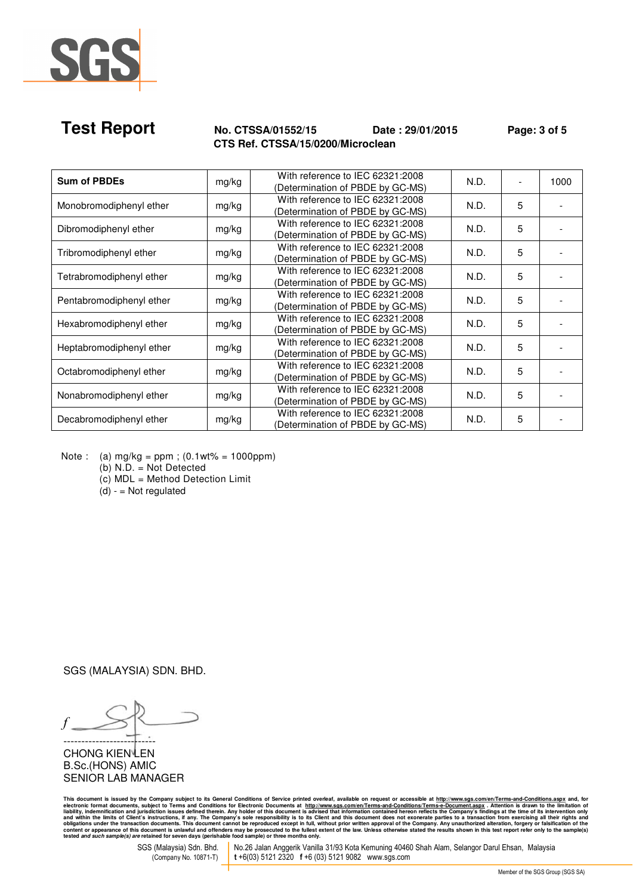

# **Test Report No. CTSSA/01552/15 Date : 29/01/2015 Page: 3 of 5 CTS Ref. CTSSA/15/0200/Microclean**

| <b>Sum of PBDEs</b>      | mg/kg | With reference to IEC 62321:2008<br>(Determination of PBDE by GC-MS) | N.D. |   | 1000 |
|--------------------------|-------|----------------------------------------------------------------------|------|---|------|
| Monobromodiphenyl ether  | mg/kg | With reference to IEC 62321:2008<br>(Determination of PBDE by GC-MS) | N.D. | 5 |      |
| Dibromodiphenyl ether    | mg/kg | With reference to IEC 62321:2008<br>(Determination of PBDE by GC-MS) | N.D. | 5 |      |
| Tribromodiphenyl ether   | mg/kg | With reference to IEC 62321:2008<br>(Determination of PBDE by GC-MS) | N.D. | 5 |      |
| Tetrabromodiphenyl ether | mg/kg | With reference to IEC 62321:2008<br>(Determination of PBDE by GC-MS) | N.D. | 5 |      |
| Pentabromodiphenyl ether | mg/kg | With reference to IEC 62321:2008<br>(Determination of PBDE by GC-MS) | N.D. | 5 |      |
| Hexabromodiphenyl ether  | mg/kg | With reference to IEC 62321:2008<br>(Determination of PBDE by GC-MS) | N.D. | 5 |      |
| Heptabromodiphenyl ether | mg/kg | With reference to IEC 62321:2008<br>(Determination of PBDE by GC-MS) | N.D. | 5 |      |
| Octabromodiphenyl ether  | mg/kg | With reference to IEC 62321:2008<br>(Determination of PBDE by GC-MS) | N.D. | 5 |      |
| Nonabromodiphenyl ether  | mg/kg | With reference to IEC 62321:2008<br>(Determination of PBDE by GC-MS) | N.D. | 5 |      |
| Decabromodiphenyl ether  | mg/kg | With reference to IEC 62321:2008<br>(Determination of PBDE by GC-MS) | N.D. | 5 |      |

Note : (a)  $mg/kg = ppm$ ; (0.1wt% = 1000ppm)

(b) N.D. = Not Detected

(c) MDL = Method Detection Limit

 $(d) -$  = Not regulated

SGS (MALAYSIA) SDN. BHD.

*f* --------------------------

CHONG KIEN<sup>LEN</sup> B.Sc.(HONS) AMIC SENIOR LAB MANAGER

This document is issued by the Company subject to Terms and Conditions of Service printed overleaf, available on request or accessible at <u>http://www.sts.com/en/Terms-and-Conditions?Ferms-e-Document.aspx . Attention is dra</u>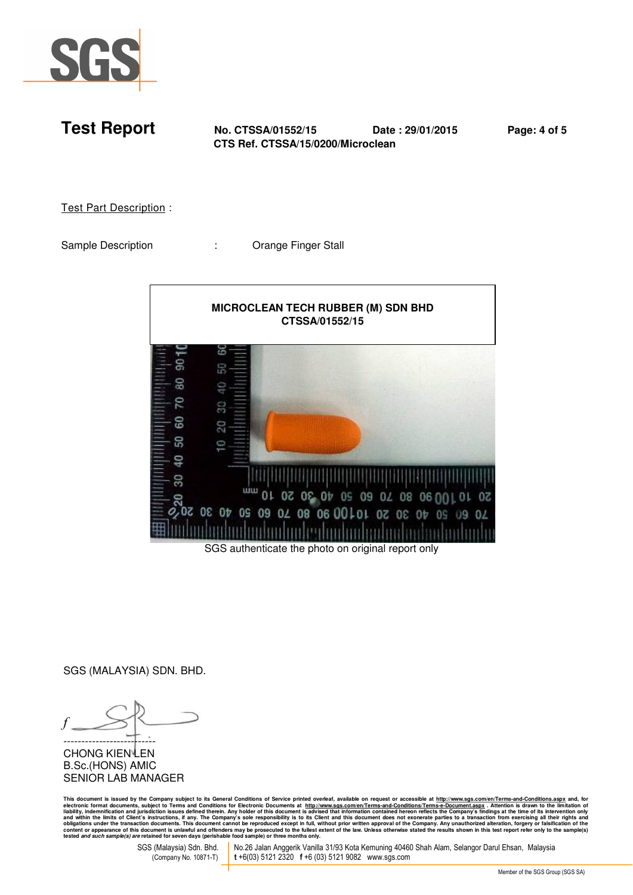

**Test Report No. CTSSA/01552/15 Date : 29/01/2015 Page: 4 of 5 CTS Ref. CTSSA/15/0200/Microclean** 

Test Part Description :

Sample Description : Crange Finger Stall



SGS authenticate the photo on original report only

SGS (MALAYSIA) SDN. BHD.

*f* --------------------------

**CHONG KIEN LEN** B.Sc.(HONS) AMIC SENIOR LAB MANAGER

This document is issued by the Company subject to Terms and Conditions of Service printed overleaf, available on request or accessible at <u>http://www.sts.com/en/Terms-and-Conditions?Ferms-e-Document.aspx . Attention is dra</u>